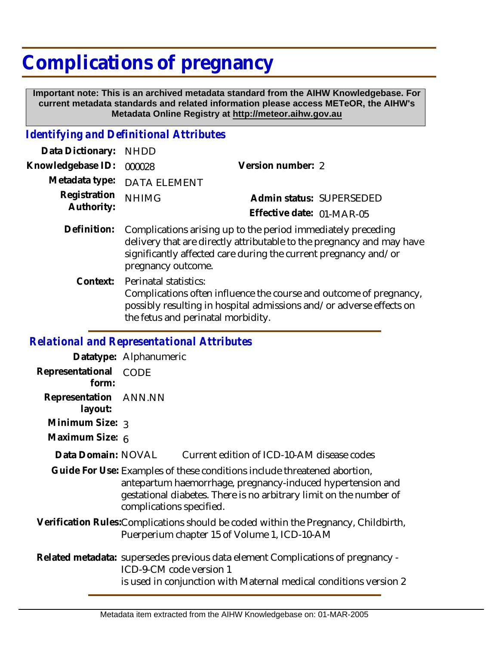## **Complications of pregnancy**

 **Important note: This is an archived metadata standard from the AIHW Knowledgebase. For current metadata standards and related information please access METeOR, the AIHW's Metadata Online Registry at http://meteor.aihw.gov.au**

## *Identifying and Definitional Attributes*

| Data Dictionary:           | <b>NHDD</b>                                                                                                                                                                                                                    |                           |                          |
|----------------------------|--------------------------------------------------------------------------------------------------------------------------------------------------------------------------------------------------------------------------------|---------------------------|--------------------------|
| Knowledgebase ID:          | 000028                                                                                                                                                                                                                         | Version number: 2         |                          |
| Metadata type:             | <b>DATA ELEMENT</b>                                                                                                                                                                                                            |                           |                          |
| Registration<br>Authority: | <b>NHIMG</b>                                                                                                                                                                                                                   |                           | Admin status: SUPERSEDED |
|                            |                                                                                                                                                                                                                                | Effective date: 01-MAR-05 |                          |
| Definition:                | Complications arising up to the period immediately preceding<br>delivery that are directly attributable to the pregnancy and may have<br>significantly affected care during the current pregnancy and/or<br>pregnancy outcome. |                           |                          |
| Context:                   | Perinatal statistics:<br>Complications often influence the course and outcome of pregnancy,<br>possibly resulting in hospital admissions and/or adverse effects on<br>the fetus and perinatal morbidity.                       |                           |                          |
|                            |                                                                                                                                                                                                                                |                           |                          |

## *Relational and Representational Attributes*

|                                                                                                                                                                                                                                          | Datatype: Alphanumeric                                                                                                                                                          |  |  |
|------------------------------------------------------------------------------------------------------------------------------------------------------------------------------------------------------------------------------------------|---------------------------------------------------------------------------------------------------------------------------------------------------------------------------------|--|--|
| Representational<br>form:                                                                                                                                                                                                                | CODE                                                                                                                                                                            |  |  |
| Representation ANN.NN<br>layout:                                                                                                                                                                                                         |                                                                                                                                                                                 |  |  |
| Minimum Size: 3                                                                                                                                                                                                                          |                                                                                                                                                                                 |  |  |
| Maximum Size: 6                                                                                                                                                                                                                          |                                                                                                                                                                                 |  |  |
| Data Domain: NOVAL                                                                                                                                                                                                                       | Current edition of ICD-10-AM disease codes                                                                                                                                      |  |  |
| Guide For Use: Examples of these conditions include threatened abortion,<br>antepartum haemorrhage, pregnancy-induced hypertension and<br>gestational diabetes. There is no arbitrary limit on the number of<br>complications specified. |                                                                                                                                                                                 |  |  |
|                                                                                                                                                                                                                                          | Verification Rules: Complications should be coded within the Pregnancy, Childbirth,<br>Puerperium chapter 15 of Volume 1, ICD-10-AM                                             |  |  |
|                                                                                                                                                                                                                                          | Related metadata: supersedes previous data element Complications of pregnancy -<br>ICD-9-CM code version 1<br>is used in conjunction with Maternal medical conditions version 2 |  |  |